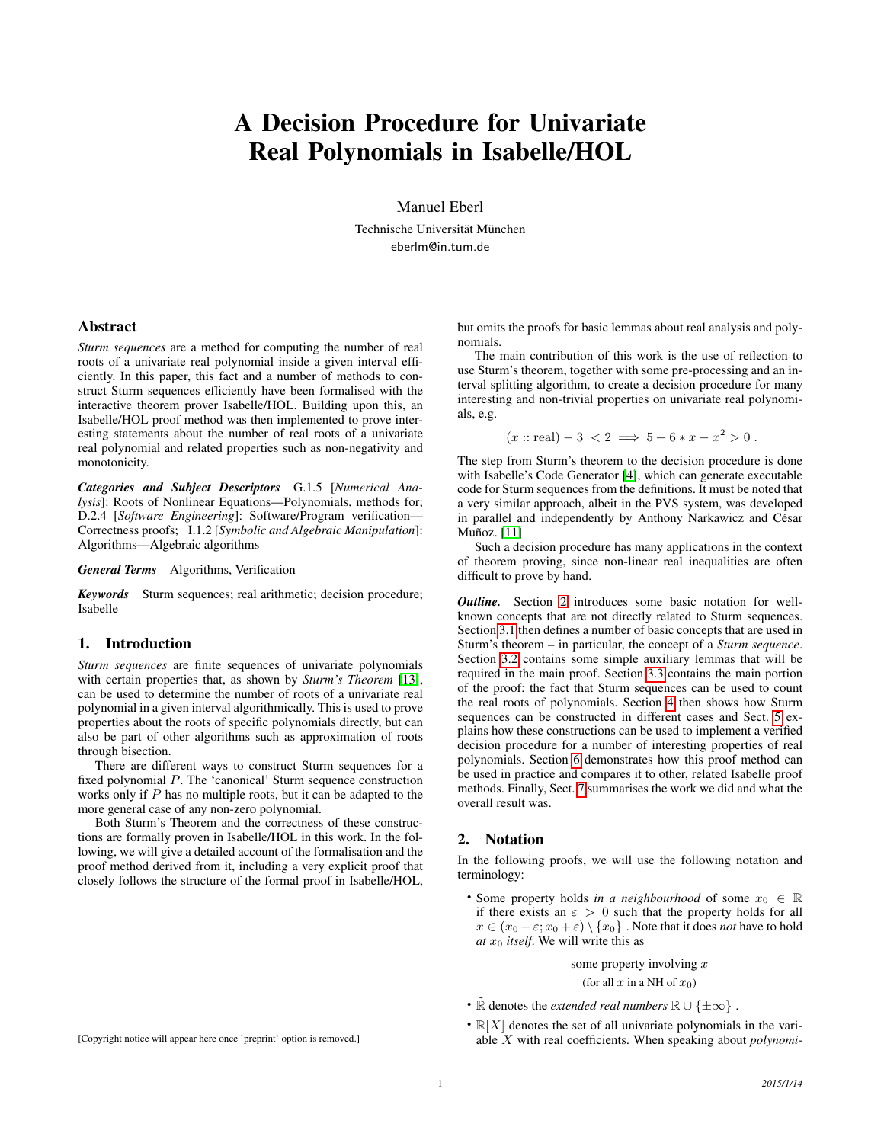# A Decision Procedure for Univariate Real Polynomials in Isabelle/HOL

Manuel Eberl

Technische Universität München eberlm@in.tum.de

## Abstract

*Sturm sequences* are a method for computing the number of real roots of a univariate real polynomial inside a given interval efficiently. In this paper, this fact and a number of methods to construct Sturm sequences efficiently have been formalised with the interactive theorem prover Isabelle/HOL. Building upon this, an Isabelle/HOL proof method was then implemented to prove interesting statements about the number of real roots of a univariate real polynomial and related properties such as non-negativity and monotonicity.

*Categories and Subject Descriptors* G.1.5 [*Numerical Analysis*]: Roots of Nonlinear Equations—Polynomials, methods for; D.2.4 [*Software Engineering*]: Software/Program verification— Correctness proofs; I.1.2 [*Symbolic and Algebraic Manipulation*]: Algorithms—Algebraic algorithms

*General Terms* Algorithms, Verification

*Keywords* Sturm sequences; real arithmetic; decision procedure; Isabelle

# 1. Introduction

*Sturm sequences* are finite sequences of univariate polynomials with certain properties that, as shown by *Sturm's Theorem* [\[13\]](#page-9-0), can be used to determine the number of roots of a univariate real polynomial in a given interval algorithmically. This is used to prove properties about the roots of specific polynomials directly, but can also be part of other algorithms such as approximation of roots through bisection.

There are different ways to construct Sturm sequences for a fixed polynomial P. The 'canonical' Sturm sequence construction works only if P has no multiple roots, but it can be adapted to the more general case of any non-zero polynomial.

Both Sturm's Theorem and the correctness of these constructions are formally proven in Isabelle/HOL in this work. In the following, we will give a detailed account of the formalisation and the proof method derived from it, including a very explicit proof that closely follows the structure of the formal proof in Isabelle/HOL, but omits the proofs for basic lemmas about real analysis and polynomials.

The main contribution of this work is the use of reflection to use Sturm's theorem, together with some pre-processing and an interval splitting algorithm, to create a decision procedure for many interesting and non-trivial properties on univariate real polynomials, e.g.

$$
|(x::real)-3|<2 \implies 5+6*x-x^2>0.
$$

The step from Sturm's theorem to the decision procedure is done with Isabelle's Code Generator [\[4\]](#page-9-1), which can generate executable code for Sturm sequences from the definitions. It must be noted that a very similar approach, albeit in the PVS system, was developed in parallel and independently by Anthony Narkawicz and César Muñoz. [\[11\]](#page-9-2)

Such a decision procedure has many applications in the context of theorem proving, since non-linear real inequalities are often difficult to prove by hand.

*Outline.* Section [2](#page-0-0) introduces some basic notation for wellknown concepts that are not directly related to Sturm sequences. Section [3.1](#page-1-0) then defines a number of basic concepts that are used in Sturm's theorem – in particular, the concept of a *Sturm sequence*. Section [3.2](#page-2-0) contains some simple auxiliary lemmas that will be required in the main proof. Section [3.3](#page-2-1) contains the main portion of the proof: the fact that Sturm sequences can be used to count the real roots of polynomials. Section [4](#page-3-0) then shows how Sturm sequences can be constructed in different cases and Sect. [5](#page-5-0) explains how these constructions can be used to implement a verified decision procedure for a number of interesting properties of real polynomials. Section [6](#page-7-0) demonstrates how this proof method can be used in practice and compares it to other, related Isabelle proof methods. Finally, Sect. [7](#page-8-0) summarises the work we did and what the overall result was.

### <span id="page-0-0"></span>2. Notation

In the following proofs, we will use the following notation and terminology:

• Some property holds *in a neighbourhood* of some  $x_0 \in \mathbb{R}$ if there exists an  $\varepsilon > 0$  such that the property holds for all  $x \in (x_0 - \varepsilon; x_0 + \varepsilon) \setminus \{x_0\}$ . Note that it does *not* have to hold *at*  $x_0$  *itself*. We will write this as

> some property involving  $x$ (for all x in a NH of  $x_0$ )

- $\mathbb R$  denotes the *extended real numbers*  $\mathbb R \cup \{\pm \infty\}$ .
- $\mathbb{R}[X]$  denotes the set of all univariate polynomials in the variable X with real coefficients. When speaking about *polynomi-*

[Copyright notice will appear here once 'preprint' option is removed.]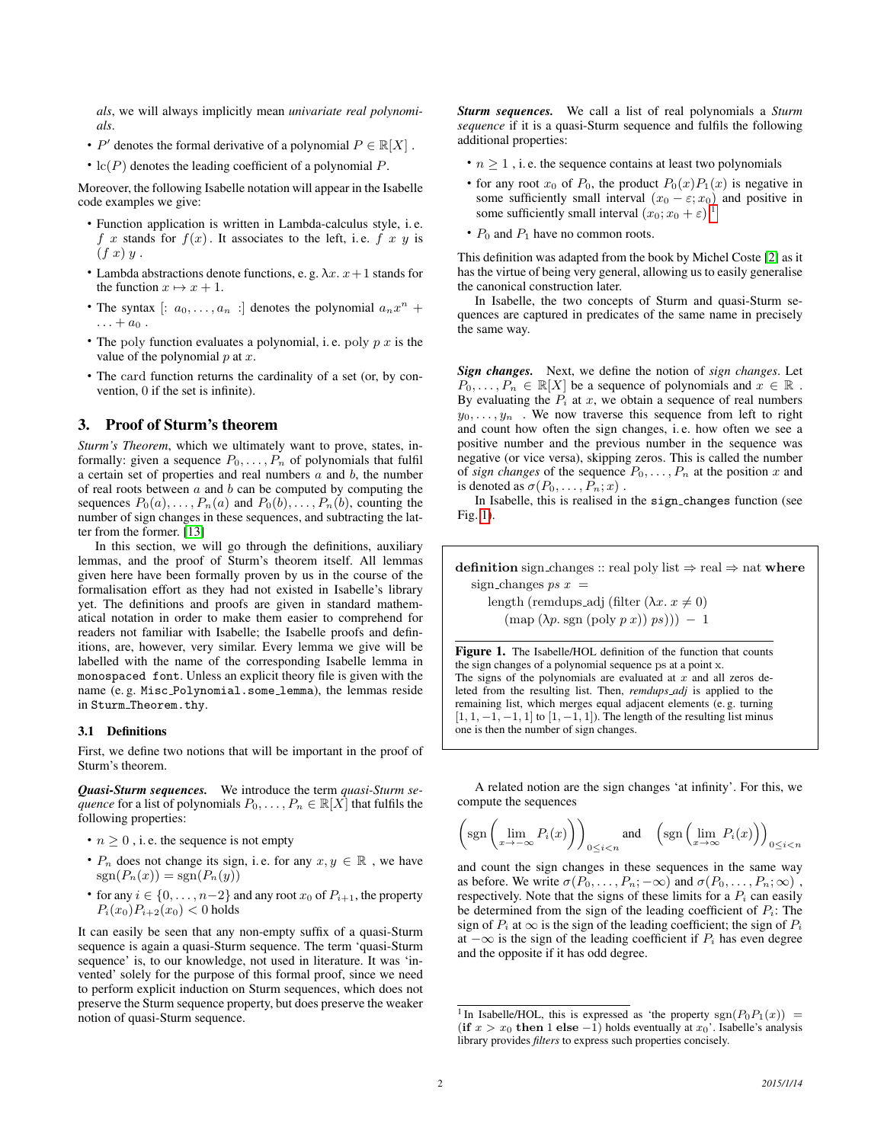*als*, we will always implicitly mean *univariate real polynomials*.

- P' denotes the formal derivative of a polynomial  $P \in \mathbb{R}[X]$ .
- $lc(P)$  denotes the leading coefficient of a polynomial  $P$ .

Moreover, the following Isabelle notation will appear in the Isabelle code examples we give:

- Function application is written in Lambda-calculus style, i. e. f x stands for  $f(x)$ . It associates to the left, i.e. f x y is  $(f x) y$ .
- Lambda abstractions denote functions, e. g.  $\lambda x$ .  $x + 1$  stands for the function  $x \mapsto x + 1$ .
- The syntax  $[: a_0, \ldots, a_n :]$  denotes the polynomial  $a_n x^n +$  $\ldots + a_0$ .
- The poly function evaluates a polynomial, i.e. poly  $p x$  is the value of the polynomial  $p$  at  $x$ .
- The card function returns the cardinality of a set (or, by convention, 0 if the set is infinite).

# 3. Proof of Sturm's theorem

*Sturm's Theorem*, which we ultimately want to prove, states, informally: given a sequence  $P_0, \ldots, P_n$  of polynomials that fulfil a certain set of properties and real numbers  $a$  and  $b$ , the number of real roots between  $a$  and  $b$  can be computed by computing the sequences  $P_0(a), \ldots, P_n(a)$  and  $P_0(b), \ldots, P_n(b)$ , counting the number of sign changes in these sequences, and subtracting the latter from the former. [\[13\]](#page-9-0)

In this section, we will go through the definitions, auxiliary lemmas, and the proof of Sturm's theorem itself. All lemmas given here have been formally proven by us in the course of the formalisation effort as they had not existed in Isabelle's library yet. The definitions and proofs are given in standard mathematical notation in order to make them easier to comprehend for readers not familiar with Isabelle; the Isabelle proofs and definitions, are, however, very similar. Every lemma we give will be labelled with the name of the corresponding Isabelle lemma in monospaced font. Unless an explicit theory file is given with the name (e. g. Misc Polynomial.some lemma), the lemmas reside in Sturm\_Theorem.thy.

### <span id="page-1-0"></span>3.1 Definitions

First, we define two notions that will be important in the proof of Sturm's theorem.

*Quasi-Sturm sequences.* We introduce the term *quasi-Sturm sequence* for a list of polynomials  $P_0, \ldots, P_n \in \mathbb{R}[X]$  that fulfils the following properties:

- $n \geq 0$ , i.e. the sequence is not empty
- $P_n$  does not change its sign, i.e. for any  $x, y \in \mathbb{R}$ , we have  $sgn(P_n(x)) = sgn(P_n(y))$
- for any  $i \in \{0, \ldots, n-2\}$  and any root  $x_0$  of  $P_{i+1}$ , the property  $P_i(x_0)P_{i+2}(x_0) < 0$  holds

It can easily be seen that any non-empty suffix of a quasi-Sturm sequence is again a quasi-Sturm sequence. The term 'quasi-Sturm sequence' is, to our knowledge, not used in literature. It was 'invented' solely for the purpose of this formal proof, since we need to perform explicit induction on Sturm sequences, which does not preserve the Sturm sequence property, but does preserve the weaker notion of quasi-Sturm sequence.

*Sturm sequences.* We call a list of real polynomials a *Sturm sequence* if it is a quasi-Sturm sequence and fulfils the following additional properties:

- $n \geq 1$ , i.e. the sequence contains at least two polynomials
- for any root  $x_0$  of  $P_0$ , the product  $P_0(x)P_1(x)$  is negative in some sufficiently small interval  $(x_0 - \varepsilon; x_0)$  and positive in some sufficiently small interval  $(x_0; x_0 + \varepsilon)$ [1](#page-1-1)
- $P_0$  and  $P_1$  have no common roots.

This definition was adapted from the book by Michel Coste [\[2\]](#page-9-3) as it has the virtue of being very general, allowing us to easily generalise the canonical construction later.

In Isabelle, the two concepts of Sturm and quasi-Sturm sequences are captured in predicates of the same name in precisely the same way.

<span id="page-1-3"></span>*Sign changes.* Next, we define the notion of *sign changes*. Let  $P_0, \ldots, P_n \in \mathbb{R}[X]$  be a sequence of polynomials and  $x \in \mathbb{R}$ . By evaluating the  $P_i$  at x, we obtain a sequence of real numbers  $y_0, \ldots, y_n$ . We now traverse this sequence from left to right and count how often the sign changes, i. e. how often we see a positive number and the previous number in the sequence was negative (or vice versa), skipping zeros. This is called the number of *sign changes* of the sequence  $P_0, \ldots, P_n$  at the position x and is denoted as  $\sigma(P_0, \ldots, P_n; x)$ .

In Isabelle, this is realised in the sign changes function (see Fig. [1\)](#page-1-2).

definition sign\_changes :: real poly list  $\Rightarrow$  real  $\Rightarrow$  nat where sign\_changes  $ps x =$ length (remdups adj (filter  $(\lambda x. x \neq 0)$ )  $(\text{map } (\lambda p. \text{sgn } (\text{poly } p x)) p s))) - 1$ 

<span id="page-1-2"></span>Figure 1. The Isabelle/HOL definition of the function that counts the sign changes of a polynomial sequence ps at a point x. The signs of the polynomials are evaluated at  $x$  and all zeros deleted from the resulting list. Then, *remdups adj* is applied to the remaining list, which merges equal adjacent elements (e. g. turning  $[1, 1, -1, -1, 1]$  to  $[1, -1, 1]$ ). The length of the resulting list minus one is then the number of sign changes.

A related notion are the sign changes 'at infinity'. For this, we compute the sequences

$$
\left(\text{sgn}\left(\lim_{x\to-\infty}P_i(x)\right)\right)_{0\leq i
$$

and count the sign changes in these sequences in the same way as before. We write  $\sigma(P_0, \ldots, P_n; -\infty)$  and  $\sigma(P_0, \ldots, P_n; \infty)$ , respectively. Note that the signs of these limits for a  $P_i$  can easily be determined from the sign of the leading coefficient of  $P_i$ : The sign of  $P_i$  at  $\infty$  is the sign of the leading coefficient; the sign of  $P_i$ at  $-\infty$  is the sign of the leading coefficient if  $P_i$  has even degree and the opposite if it has odd degree.

<span id="page-1-1"></span><sup>&</sup>lt;sup>1</sup> In Isabelle/HOL, this is expressed as 'the property sgn $(P_0P_1(x))$  = (if  $x > x_0$  then 1 else -1) holds eventually at  $x_0$ '. Isabelle's analysis library provides *filters* to express such properties concisely.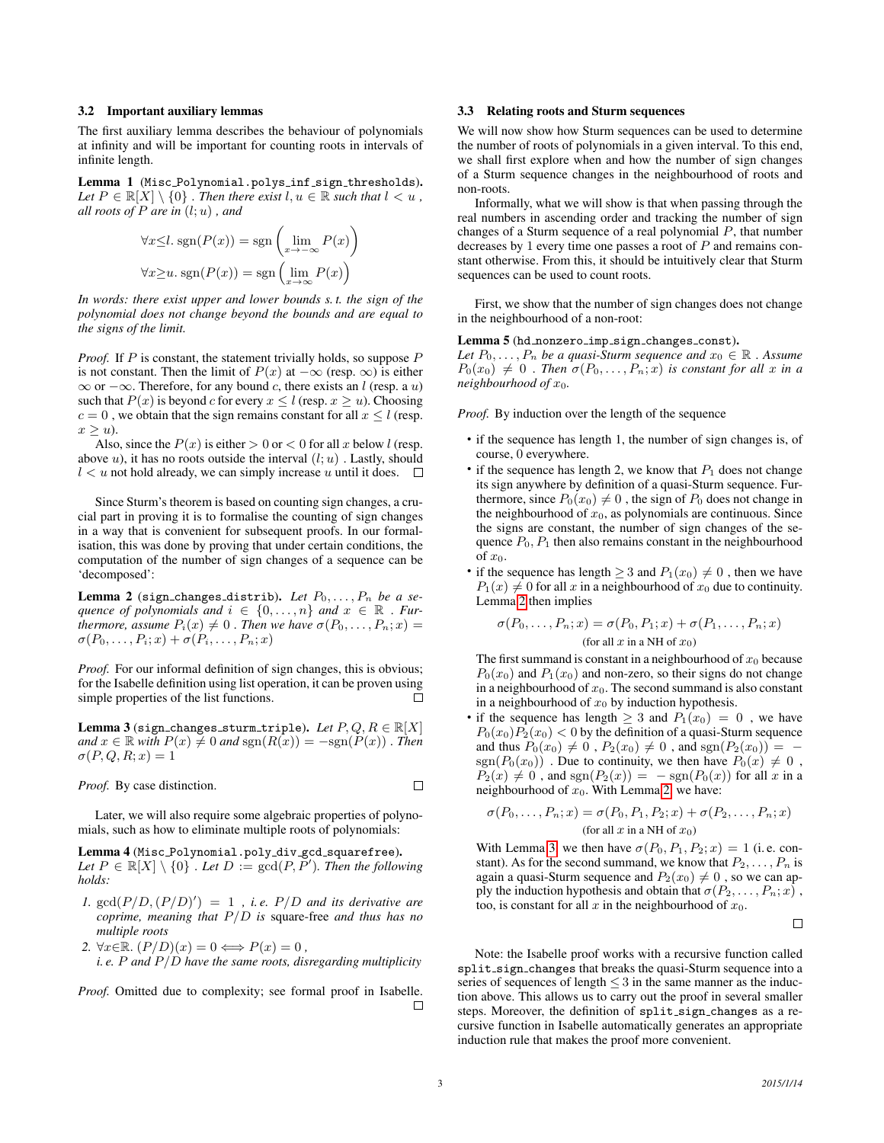### <span id="page-2-0"></span>3.2 Important auxiliary lemmas

The first auxiliary lemma describes the behaviour of polynomials at infinity and will be important for counting roots in intervals of infinite length.

<span id="page-2-5"></span>Lemma 1 (Misc\_Polynomial.polys\_inf\_sign\_thresholds). *Let*  $P \in \mathbb{R}[X] \setminus \{0\}$ . Then there exist  $l, u \in \mathbb{R}$  such that  $l < u$ , *all roots of* P *are in* (l; u) *, and*

$$
\forall x \le l. \text{ sgn}(P(x)) = \text{sgn}\left(\lim_{x \to -\infty} P(x)\right)
$$

$$
\forall x \ge u. \text{ sgn}(P(x)) = \text{sgn}\left(\lim_{x \to \infty} P(x)\right)
$$

*In words: there exist upper and lower bounds s. t. the sign of the polynomial does not change beyond the bounds and are equal to the signs of the limit.*

*Proof.* If P is constant, the statement trivially holds, so suppose P is not constant. Then the limit of  $P(x)$  at  $-\infty$  (resp.  $\infty$ ) is either  $\infty$  or  $-\infty$ . Therefore, for any bound c, there exists an *l* (resp. a *u*) such that  $P(x)$  is beyond c for every  $x \leq l$  (resp.  $x \geq u$ ). Choosing  $c = 0$ , we obtain that the sign remains constant for all  $x \leq l$  (resp.  $x \geq u$ ).

Also, since the  $P(x)$  is either  $> 0$  or  $< 0$  for all x below l (resp. above  $u$ ), it has no roots outside the interval  $(l; u)$ . Lastly, should  $l < u$  not hold already, we can simply increase u until it does.  $\square$ 

Since Sturm's theorem is based on counting sign changes, a crucial part in proving it is to formalise the counting of sign changes in a way that is convenient for subsequent proofs. In our formalisation, this was done by proving that under certain conditions, the computation of the number of sign changes of a sequence can be 'decomposed':

<span id="page-2-2"></span>**Lemma 2** (sign\_changes\_distrib). Let  $P_0, \ldots, P_n$  be a se*quence of polynomials and*  $i \in \{0, \ldots, n\}$  and  $x \in \mathbb{R}$  *. Furthermore, assume*  $P_i(x) \neq 0$ . *Then we have*  $\sigma(P_0, \ldots, P_n; x) =$  $\sigma(P_0,\ldots,P_i;x) + \sigma(P_i,\ldots,P_n;x)$ 

*Proof.* For our informal definition of sign changes, this is obvious; for the Isabelle definition using list operation, it can be proven using simple properties of the list functions. simple properties of the list functions.

<span id="page-2-3"></span>**Lemma 3** (sign\_changes\_sturm\_triple). Let  $P, Q, R \in \mathbb{R}[X]$ *and*  $x \in \mathbb{R}$  *with*  $P(x) \neq 0$  *and*  $sgn(R(x)) = -sgn(P(x))$  *. Then*  $\sigma(P,Q,R;x) = 1$ 

*Proof.* By case distinction.

Later, we will also require some algebraic properties of polynomials, such as how to eliminate multiple roots of polynomials:

<span id="page-2-6"></span>Lemma 4 (Misc\_Polynomial.poly\_div\_gcd\_squarefree). Let  $P \in \mathbb{R}[X] \setminus \{0\}$ . Let  $D := \text{gcd}(P, \overline{P}')$ . Then the following *holds:*

- *1.*  $gcd(P/D, (P/D)') = 1$ , *i.e.*  $P/D$  *and its derivative are coprime, meaning that* P/D *is* square-free *and thus has no multiple roots*
- 2.  $\forall x \in \mathbb{R}$ .  $(P/D)(x) = 0 \Longleftrightarrow P(x) = 0$ ,

*i. e.* P *and* P/D *have the same roots, disregarding multiplicity*

*Proof.* Omitted due to complexity; see formal proof in Isabelle.

### <span id="page-2-1"></span>3.3 Relating roots and Sturm sequences

We will now show how Sturm sequences can be used to determine the number of roots of polynomials in a given interval. To this end, we shall first explore when and how the number of sign changes of a Sturm sequence changes in the neighbourhood of roots and non-roots.

Informally, what we will show is that when passing through the real numbers in ascending order and tracking the number of sign changes of a Sturm sequence of a real polynomial  $P$ , that number decreases by 1 every time one passes a root of P and remains constant otherwise. From this, it should be intuitively clear that Sturm sequences can be used to count roots.

First, we show that the number of sign changes does not change in the neighbourhood of a non-root:

### <span id="page-2-4"></span>Lemma 5 (hd\_nonzero\_imp\_sign\_changes\_const).

*Let*  $P_0, \ldots, P_n$  *be a quasi-Sturm sequence and*  $x_0 \in \mathbb{R}$  *. Assume*  $P_0(x_0) \neq 0$ . Then  $\sigma(P_0, \ldots, P_n; x)$  is constant for all x in a *neighbourhood of*  $x_0$ *.* 

*Proof.* By induction over the length of the sequence

- if the sequence has length 1, the number of sign changes is, of course, 0 everywhere.
- if the sequence has length 2, we know that  $P_1$  does not change its sign anywhere by definition of a quasi-Sturm sequence. Furthermore, since  $P_0(x_0) \neq 0$ , the sign of  $P_0$  does not change in the neighbourhood of  $x_0$ , as polynomials are continuous. Since the signs are constant, the number of sign changes of the sequence  $P_0$ ,  $P_1$  then also remains constant in the neighbourhood of  $x_0$ .
- if the sequence has length  $\geq 3$  and  $P_1(x_0) \neq 0$ , then we have  $P_1(x) \neq 0$  for all x in a neighbourhood of  $x_0$  due to continuity. Lemma [2](#page-2-2) then implies

$$
\sigma(P_0, \dots, P_n; x) = \sigma(P_0, P_1; x) + \sigma(P_1, \dots, P_n; x)
$$
  
(for all x in a NH of x<sub>0</sub>)

The first summand is constant in a neighbourhood of  $x_0$  because  $P_0(x_0)$  and  $P_1(x_0)$  and non-zero, so their signs do not change in a neighbourhood of  $x_0$ . The second summand is also constant in a neighbourhood of  $x_0$  by induction hypothesis.

if the sequence has length  $\geq 3$  and  $P_1(x_0) = 0$ , we have  $P_0(x_0)P_2(x_0)$  < 0 by the definition of a quasi-Sturm sequence and thus  $P_0(x_0) \neq 0$ ,  $P_2(x_0) \neq 0$ , and  $sgn(P_2(x_0)) =$  $sgn(P_0(x_0))$ . Due to continuity, we then have  $P_0(x) \neq 0$ ,  $P_2(x) \neq 0$ , and  $sgn(P_2(x)) = -sgn(P_0(x))$  for all x in a neighbourhood of  $x_0$ . With Lemma [2,](#page-2-2) we have:

$$
\sigma(P_0, \dots, P_n; x) = \sigma(P_0, P_1, P_2; x) + \sigma(P_2, \dots, P_n; x)
$$
  
(for all x in a NH of x<sub>0</sub>)

With Lemma [3,](#page-2-3) we then have  $\sigma(P_0, P_1, P_2; x) = 1$  (i.e. constant). As for the second summand, we know that  $P_2, \ldots, P_n$  is again a quasi-Sturm sequence and  $P_2(x_0) \neq 0$ , so we can apply the induction hypothesis and obtain that  $\sigma(P_2, \ldots, P_n; x)$ , too, is constant for all x in the neighbourhood of  $x_0$ .

 $\Box$ 

Note: the Isabelle proof works with a recursive function called split\_sign\_changes that breaks the quasi-Sturm sequence into a series of sequences of length  $\leq$  3 in the same manner as the induction above. This allows us to carry out the proof in several smaller steps. Moreover, the definition of split\_sign\_changes as a recursive function in Isabelle automatically generates an appropriate induction rule that makes the proof more convenient.

 $\Box$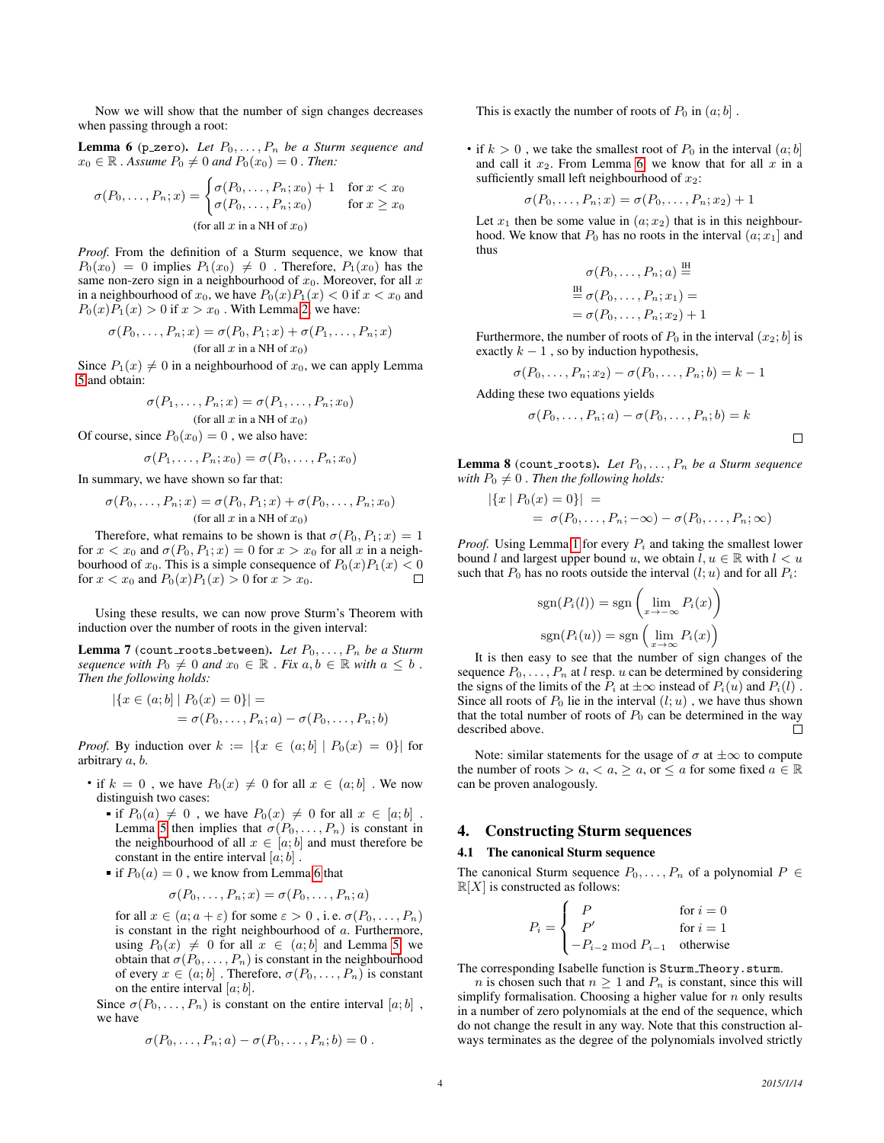Now we will show that the number of sign changes decreases when passing through a root:

<span id="page-3-1"></span>**Lemma 6** (p\_zero). Let  $P_0, \ldots, P_n$  be a Sturm sequence and  $x_0 \in \mathbb{R}$ . Assume  $P_0 \neq 0$  and  $P_0(x_0) = 0$ . Then:

$$
\sigma(P_0, \dots, P_n; x) = \begin{cases} \sigma(P_0, \dots, P_n; x_0) + 1 & \text{for } x < x_0 \\ \sigma(P_0, \dots, P_n; x_0) & \text{for } x \ge x_0 \end{cases}
$$
  
(for all x in a NH of  $x_0$ )

*Proof.* From the definition of a Sturm sequence, we know that  $P_0(x_0) = 0$  implies  $P_1(x_0) \neq 0$ . Therefore,  $P_1(x_0)$  has the same non-zero sign in a neighbourhood of  $x_0$ . Moreover, for all x in a neighbourhood of  $x_0$ , we have  $P_0(x)P_1(x) < 0$  if  $x < x_0$  and  $P_0(x)P_1(x) > 0$  if  $x > x_0$ . With Lemma [2,](#page-2-2) we have:

$$
\sigma(P_0, \ldots, P_n; x) = \sigma(P_0, P_1; x) + \sigma(P_1, \ldots, P_n; x)
$$
  
(for all x in a NH of  $x_0$ )

Since  $P_1(x) \neq 0$  in a neighbourhood of  $x_0$ , we can apply Lemma [5](#page-2-4) and obtain:

$$
\sigma(P_1, \ldots, P_n; x) = \sigma(P_1, \ldots, P_n; x_0)
$$
  
(for all x in a NH of x<sub>0</sub>)

Of course, since  $P_0(x_0) = 0$ , we also have:

$$
\sigma(P_1,\ldots,P_n;x_0)=\sigma(P_0,\ldots,P_n;x_0)
$$

In summary, we have shown so far that:

$$
\sigma(P_0, \dots, P_n; x) = \sigma(P_0, P_1; x) + \sigma(P_0, \dots, P_n; x_0)
$$
  
(for all x in a NH of  $x_0$ )

Therefore, what remains to be shown is that  $\sigma(P_0, P_1; x) = 1$ for  $x < x_0$  and  $\sigma(P_0, P_1; x) = 0$  for  $x > x_0$  for all x in a neighbourhood of  $x_0$ . This is a simple consequence of  $P_0(x)P_1(x) < 0$ for  $x < x_0$  and  $P_0(x)P_1(x) > 0$  for  $x > x_0$ .  $\Box$ 

Using these results, we can now prove Sturm's Theorem with induction over the number of roots in the given interval:

<span id="page-3-2"></span>Lemma 7 (count\_roots\_between). *Let*  $P_0, \ldots, P_n$  *be a Sturm sequence with*  $P_0 \neq 0$  *and*  $x_0 \in \mathbb{R}$  *. Fix*  $a, b \in \mathbb{R}$  *with*  $a \leq b$  *. Then the following holds:*

$$
|\{x \in (a;b] \mid P_0(x) = 0\}| =
$$
  
=  $\sigma(P_0, \dots, P_n; a) - \sigma(P_0, \dots, P_n; b)$ 

*Proof.* By induction over  $k := |\{x \in (a, b] \mid P_0(x) = 0\}|$  for arbitrary a, b.

- if  $k = 0$ , we have  $P_0(x) \neq 0$  for all  $x \in (a, b]$ . We now distinguish two cases:
	- if  $P_0(a) \neq 0$ , we have  $P_0(x) \neq 0$  for all  $x \in [a, b]$ . Lemma [5](#page-2-4) then implies that  $\sigma(P_0, \ldots, P_n)$  is constant in the neighbourhood of all  $x \in [a, b]$  and must therefore be constant in the entire interval  $[a; b]$ .
	- if  $P_0(a) = 0$ , we know from Lemma [6](#page-3-1) that

$$
\sigma(P_0,\ldots,P_n;x)=\sigma(P_0,\ldots,P_n;a)
$$

for all  $x \in (a; a + \varepsilon)$  for some  $\varepsilon > 0$ , i.e.  $\sigma(P_0, \ldots, P_n)$ is constant in the right neighbourhood of  $a$ . Furthermore, using  $P_0(x) \neq 0$  for all  $x \in (a, b]$  and Lemma [5,](#page-2-4) we obtain that  $\sigma(P_0, \ldots, P_n)$  is constant in the neighbourhood of every  $x \in (a; b]$  . Therefore,  $\sigma(P_0, \ldots, P_n)$  is constant on the entire interval  $[a; b]$ .

Since  $\sigma(P_0, \ldots, P_n)$  is constant on the entire interval  $[a; b]$ , we have

$$
\sigma(P_0,\ldots,P_n;a)-\sigma(P_0,\ldots,P_n;b)=0.
$$

This is exactly the number of roots of  $P_0$  in  $(a; b]$ .

• if  $k > 0$ , we take the smallest root of  $P_0$  in the interval  $(a, b]$ and call it  $x_2$ . From Lemma [6,](#page-3-1) we know that for all x in a sufficiently small left neighbourhood of  $x_2$ :

$$
\sigma(P_0,\ldots,P_n;x)=\sigma(P_0,\ldots,P_n;x_2)+1
$$

Let  $x_1$  then be some value in  $(a; x_2)$  that is in this neighbourhood. We know that  $P_0$  has no roots in the interval  $(a; x_1]$  and thus

$$
\sigma(P_0, \dots, P_n; a) \stackrel{\text{IH}}{=} \newline \sigma(P_0, \dots, P_n; x_1) = \newline = \sigma(P_0, \dots, P_n; x_2) + 1
$$

Furthermore, the number of roots of  $P_0$  in the interval  $(x_2; b]$  is exactly  $k - 1$ , so by induction hypothesis,

$$
\sigma(P_0,\ldots,P_n;x_2)-\sigma(P_0,\ldots,P_n;b)=k-1
$$

Adding these two equations yields

$$
\sigma(P_0,\ldots,P_n;a) - \sigma(P_0,\ldots,P_n;b) = k
$$

<span id="page-3-3"></span>**Lemma 8** (count roots). Let  $P_0, \ldots, P_n$  be a Sturm sequence *with*  $P_0 \neq 0$ . *Then the following holds:* 

$$
|\{x \mid P_0(x) = 0\}|
$$
 =  
=  $\sigma(P_0, ..., P_n; -\infty) - \sigma(P_0, ..., P_n; \infty)$ 

*Proof.* Using Lemma [1](#page-2-5) for every  $P_i$  and taking the smallest lower bound l and largest upper bound u, we obtain  $l, u \in \mathbb{R}$  with  $l \leq u$ such that  $P_0$  has no roots outside the interval  $(l; u)$  and for all  $P_i$ :

$$
sgn(P_i(l)) = sgn\left(\lim_{x \to -\infty} P_i(x)\right)
$$

$$
sgn(P_i(u)) = sgn\left(\lim_{x \to \infty} P_i(x)\right)
$$

It is then easy to see that the number of sign changes of the sequence  $P_0, \ldots, P_n$  at l resp. u can be determined by considering the signs of the limits of the  $P_i$  at  $\pm \infty$  instead of  $P_i(u)$  and  $P_i(l)$ . Since all roots of  $P_0$  lie in the interval  $(l; u)$ , we have thus shown that the total number of roots of  $P_0$  can be determined in the way described above. П

Note: similar statements for the usage of  $\sigma$  at  $\pm\infty$  to compute the number of roots >  $a, \langle a, \rangle \ge a$ , or  $\langle a \rangle$  a for some fixed  $a \in \mathbb{R}$ can be proven analogously.

# <span id="page-3-0"></span>4. Constructing Sturm sequences

#### 4.1 The canonical Sturm sequence

The canonical Sturm sequence  $P_0, \ldots, P_n$  of a polynomial  $P \in$  $\mathbb{R}[X]$  is constructed as follows:

$$
P_i = \begin{cases} P & \text{for } i = 0\\ P' & \text{for } i = 1\\ -P_{i-2} \bmod P_{i-1} & \text{otherwise} \end{cases}
$$

The corresponding Isabelle function is Sturm\_Theory.sturm.

n is chosen such that  $n \geq 1$  and  $P_n$  is constant, since this will simplify formalisation. Choosing a higher value for  $n$  only results in a number of zero polynomials at the end of the sequence, which do not change the result in any way. Note that this construction always terminates as the degree of the polynomials involved strictly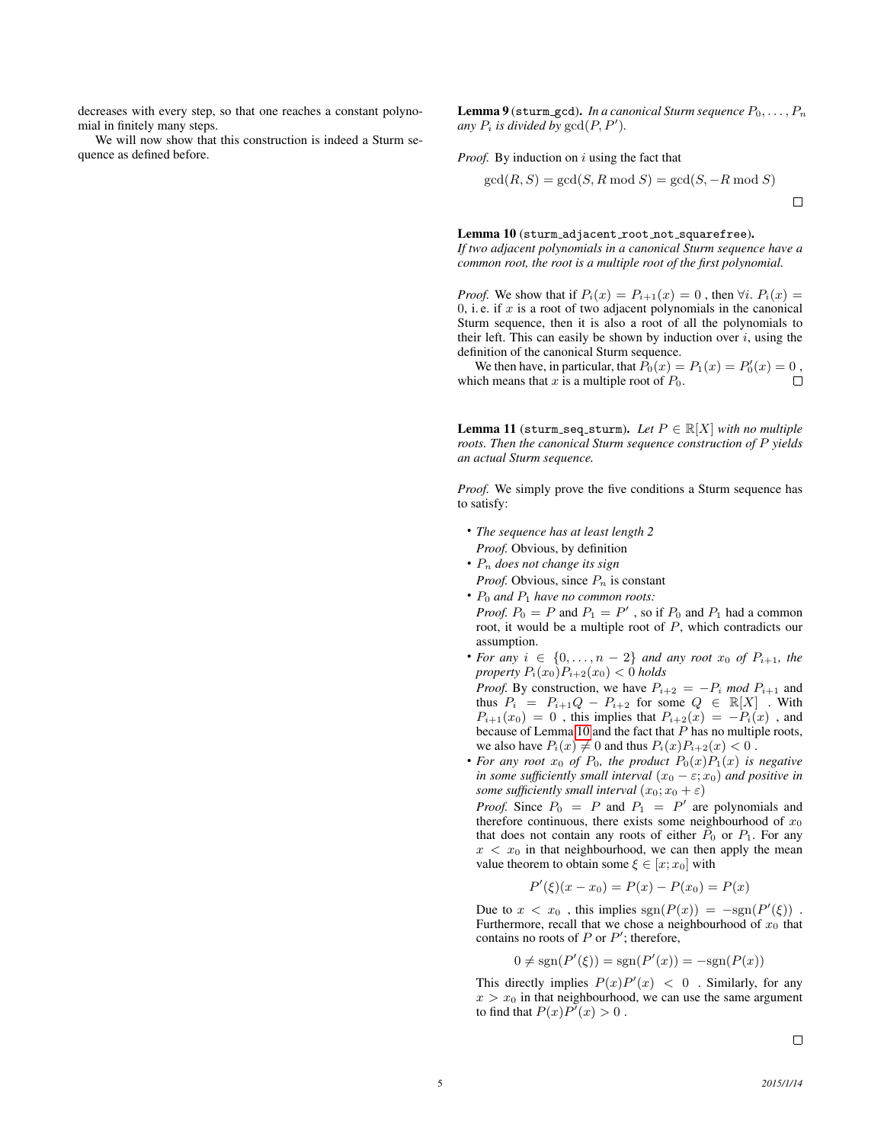decreases with every step, so that one reaches a constant polynomial in finitely many steps.

We will now show that this construction is indeed a Sturm sequence as defined before.

### <span id="page-4-1"></span>**Lemma 9** (sturm\_gcd). *In a canonical Sturm sequence*  $P_0, \ldots, P_n$ any  $P_i$  *is divided by*  $gcd(P, P')$ *.*

*Proof.* By induction on  $i$  using the fact that

$$
gcd(R, S) = gcd(S, R \bmod S) = gcd(S, -R \bmod S)
$$

 $\Box$ 

#### <span id="page-4-0"></span>Lemma 10 (sturm\_adjacent\_root\_not\_squarefree).

*If two adjacent polynomials in a canonical Sturm sequence have a common root, the root is a multiple root of the first polynomial.*

*Proof.* We show that if  $P_i(x) = P_{i+1}(x) = 0$ , then  $\forall i$ .  $P_i(x) =$ 0, i. e. if  $x$  is a root of two adjacent polynomials in the canonical Sturm sequence, then it is also a root of all the polynomials to their left. This can easily be shown by induction over  $i$ , using the definition of the canonical Sturm sequence.

We then have, in particular, that  $\tilde{P_0}(x) = P_1(x) = P'_0(x) = 0$ , which means that x is a multiple root of  $P_0$ .

**Lemma 11** (sturm\_seq\_sturm). Let  $P \in \mathbb{R}[X]$  with no multiple *roots. Then the canonical Sturm sequence construction of* P *yields an actual Sturm sequence.*

*Proof.* We simply prove the five conditions a Sturm sequence has to satisfy:

- *The sequence has at least length 2 Proof.* Obvious, by definition
- P<sup>n</sup> *does not change its sign Proof.* Obvious, since  $P_n$  is constant
- $P_0$  *and*  $P_1$  *have no common roots: Proof.*  $P_0 = P$  and  $P_1 = P'$ , so if  $P_0$  and  $P_1$  had a common root, it would be a multiple root of P, which contradicts our assumption.
- *For any*  $i \in \{0, ..., n-2\}$  *and any root*  $x_0$  *of*  $P_{i+1}$ *, the property*  $P_i(x_0)P_{i+2}(x_0) < 0$  *holds*

*Proof.* By construction, we have  $P_{i+2} = -P_i$  *mod*  $P_{i+1}$  and thus  $P_i = P_{i+1}Q - P_{i+2}$  for some  $Q \in \mathbb{R}[X]$ . With  $P_{i+1}(x_0) = 0$ , this implies that  $P_{i+2}(x) = -P_i(x)$ , and because of Lemma [10](#page-4-0) and the fact that  $P$  has no multiple roots, we also have  $P_i(x) \neq 0$  and thus  $P_i(x)P_{i+2}(x) < 0$ .

• For any root  $x_0$  of  $P_0$ , the product  $P_0(x)P_1(x)$  is negative *in some sufficiently small interval*  $(x_0 - \varepsilon; x_0)$  *and positive in some sufficiently small interval*  $(x_0; x_0 + \varepsilon)$ 

*Proof.* Since  $P_0 = P$  and  $P_1 = P'$  are polynomials and therefore continuous, there exists some neighbourhood of  $x_0$ that does not contain any roots of either  $P_0$  or  $P_1$ . For any  $x < x_0$  in that neighbourhood, we can then apply the mean value theorem to obtain some  $\xi \in [x; x_0]$  with

$$
P'(\xi)(x - x_0) = P(x) - P(x_0) = P(x)
$$

Due to  $x < x_0$ , this implies  $sgn(P(x)) = -sgn(P'(\xi))$ . Furthermore, recall that we chose a neighbourhood of  $x_0$  that contains no roots of  $P$  or  $P'$ ; therefore,

$$
0 \neq \text{sgn}(P'(\xi)) = \text{sgn}(P'(x)) = -\text{sgn}(P(x))
$$

This directly implies  $P(x)P'(x) < 0$ . Similarly, for any  $x > x_0$  in that neighbourhood, we can use the same argument to find that  $P(x)P^{(r)}(x) > 0$ .

$$
\Box
$$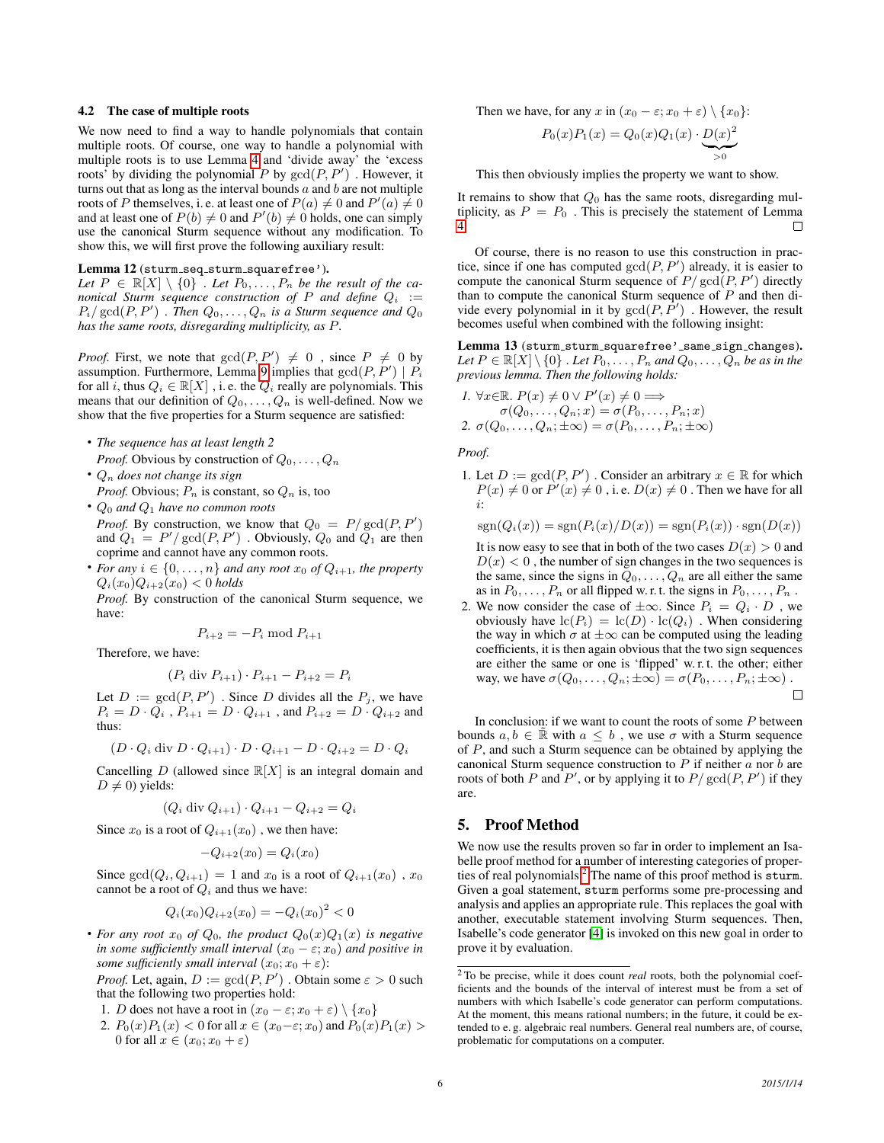### 4.2 The case of multiple roots

We now need to find a way to handle polynomials that contain multiple roots. Of course, one way to handle a polynomial with multiple roots is to use Lemma [4](#page-2-6) and 'divide away' the 'excess roots<sup>7</sup> by dividing the polynomial P by  $gcd(P, P')$ . However, it turns out that as long as the interval bounds  $a$  and  $b$  are not multiple roots of P themselves, i. e. at least one of  $P(a) \neq 0$  and  $P'(a) \neq 0$ and at least one of  $P(b) \neq 0$  and  $P'(b) \neq 0$  holds, one can simply use the canonical Sturm sequence without any modification. To show this, we will first prove the following auxiliary result:

### Lemma 12 (sturm\_seq\_sturm\_squarefree').

Let  $P \in \mathbb{R}[X] \setminus \{0\}$ . Let  $P_0, \ldots, P_n$  be the result of the ca*nonical Sturm sequence construction of*  $P$  *and define*  $Q_i :=$  $P_i/\gcd(P, P')$  *. Then*  $Q_0, \ldots, Q_n$  *is a Sturm sequence and*  $Q_0$ *has the same roots, disregarding multiplicity, as* P*.*

*Proof.* First, we note that  $gcd(P, P') \neq 0$ , since  $P \neq 0$  by assumption. Furthermore, Lemma [9](#page-4-1) implies that  $gcd(P, P') | P_i$ for all i, thus  $Q_i \in \mathbb{R}[X]$ , i.e. the  $Q_i$  really are polynomials. This means that our definition of  $Q_0, \ldots, Q_n$  is well-defined. Now we show that the five properties for a Sturm sequence are satisfied:

- *The sequence has at least length 2 Proof.* Obvious by construction of  $Q_0, \ldots, Q_n$
- Q<sup>n</sup> *does not change its sign Proof.* Obvious;  $P_n$  is constant, so  $Q_n$  is, too
- Q<sup>0</sup> *and* Q<sup>1</sup> *have no common roots*

*Proof.* By construction, we know that  $Q_0 = P/\gcd(P, P')$ and  $Q_1 = P'/\text{gcd}(P, P')$ . Obviously,  $Q_0$  and  $Q_1$  are then coprime and cannot have any common roots.

• *For any*  $i \in \{0, \ldots, n\}$  *and any root*  $x_0$  *of*  $Q_{i+1}$ *, the property*  $Q_i(x_0)Q_{i+2}(x_0) < 0$  *holds* 

*Proof.* By construction of the canonical Sturm sequence, we have:

$$
P_{i+2} = -P_i \bmod P_{i+1}
$$

Therefore, we have:

$$
(P_i \text{ div } P_{i+1}) \cdot P_{i+1} - P_{i+2} = P_i
$$

Let  $D := \gcd(P, P')$ . Since D divides all the  $P_j$ , we have  $P_i = D \cdot \breve{Q}_i$ ,  $P_{i+1} = D \cdot Q_{i+1}$ , and  $P_{i+2} = D \cdot Q_{i+2}$  and thus:

$$
(D \cdot Q_i \text{ div } D \cdot Q_{i+1}) \cdot D \cdot Q_{i+1} - D \cdot Q_{i+2} = D \cdot Q_i
$$

Cancelling  $D$  (allowed since  $\mathbb{R}[X]$  is an integral domain and  $D \neq 0$ ) yields:

$$
(Q_i \text{ div } Q_{i+1}) \cdot Q_{i+1} - Q_{i+2} = Q_i
$$

Since  $x_0$  is a root of  $Q_{i+1}(x_0)$ , we then have:

$$
-Q_{i+2}(x_0) = Q_i(x_0)
$$

Since  $gcd(Q_i, Q_{i+1}) = 1$  and  $x_0$  is a root of  $Q_{i+1}(x_0)$ ,  $x_0$ cannot be a root of  $Q_i$  and thus we have:

$$
Q_i(x_0)Q_{i+2}(x_0) = -Q_i(x_0)^2 < 0
$$

• For any root  $x_0$  of  $Q_0$ , the product  $Q_0(x)Q_1(x)$  is negative *in some sufficiently small interval*  $(x_0 - \varepsilon; x_0)$  *and positive in some sufficiently small interval*  $(x_0; x_0 + \varepsilon)$ :

*Proof.* Let, again,  $D := \gcd(P, P')$ . Obtain some  $\varepsilon > 0$  such that the following two properties hold:

- 1. *D* does not have a root in  $(x_0 \varepsilon; x_0 + \varepsilon) \setminus \{x_0\}$
- 2.  $P_0(x)P_1(x) < 0$  for all  $x \in (x_0-\varepsilon; x_0)$  and  $P_0(x)P_1(x) >$ 0 for all  $x \in (x_0; x_0 + \varepsilon)$

Then we have, for any 
$$
x
$$
 in  $(x_0 - \varepsilon; x_0 + \varepsilon) \setminus \{x_0\}$ :

$$
P_0(x)P_1(x) = Q_0(x)Q_1(x) \cdot \underbrace{D(x)^2}_{>0}
$$

This then obviously implies the property we want to show.

It remains to show that  $Q_0$  has the same roots, disregarding multiplicity, as  $P = P_0$ . This is precisely the statement of Lemma [4.](#page-2-6)

Of course, there is no reason to use this construction in practice, since if one has computed  $gcd(P, P')$  already, it is easier to compute the canonical Sturm sequence of  $P/\gcd(P, P')$  directly than to compute the canonical Sturm sequence of  $P$  and then divide every polynomial in it by  $gcd(P, \hat{P}')$ . However, the result becomes useful when combined with the following insight:

Lemma 13 (sturm\_sturm\_squarefree'\_same\_sign\_changes). *Let*  $P \in \mathbb{R}[X] \setminus \{0\}$ . *Let*  $P_0, \ldots, P_n$  *and*  $Q_0, \ldots, Q_n$  *be as in the previous lemma. Then the following holds:*

*1.*  $\forall x \in \mathbb{R}$ .  $P(x) \neq 0 \lor P'(x) \neq 0 \Longrightarrow$  $\sigma(Q_0,\ldots,Q_n;x)=\sigma(P_0,\ldots,P_n;x)$ 2.  $\sigma(Q_0,\ldots,Q_n;\pm\infty)=\sigma(P_0,\ldots,P_n;\pm\infty)$ 

*Proof.*

1. Let  $D := \gcd(P, P')$ . Consider an arbitrary  $x \in \mathbb{R}$  for which  $P(x) \neq 0$  or  $P'(x) \neq 0$ , i. e.  $D(x) \neq 0$ . Then we have for all i:

$$
sgn(Q_i(x)) = sgn(P_i(x)/D(x)) = sgn(P_i(x)) \cdot sgn(D(x))
$$

It is now easy to see that in both of the two cases  $D(x) > 0$  and  $D(x) < 0$ , the number of sign changes in the two sequences is the same, since the signs in  $Q_0, \ldots, Q_n$  are all either the same as in  $P_0, \ldots, P_n$  or all flipped w. r. t. the signs in  $P_0, \ldots, P_n$ .

2. We now consider the case of  $\pm \infty$ . Since  $P_i = Q_i \cdot D$ , we obviously have  $lc(P_i) = lc(D) \cdot lc(Q_i)$ . When considering the way in which  $\sigma$  at  $\pm \infty$  can be computed using the leading coefficients, it is then again obvious that the two sign sequences are either the same or one is 'flipped' w. r. t. the other; either way, we have  $\sigma(Q_0, \ldots, Q_n; \pm \infty) = \sigma(P_0, \ldots, P_n; \pm \infty)$ .

П

In conclusion: if we want to count the roots of some  $P$  between bounds  $a, b \in \mathbb{R}$  with  $a \leq b$ , we use  $\sigma$  with a Sturm sequence of P, and such a Sturm sequence can be obtained by applying the canonical Sturm sequence construction to  $P$  if neither  $a$  nor  $b$  are roots of both P and  $P'$ , or by applying it to  $P/\gcd(P, P')$  if they are.

### <span id="page-5-0"></span>5. Proof Method

We now use the results proven so far in order to implement an Isabelle proof method for a number of interesting categories of proper-ties of real polynomials.<sup>[2](#page-5-1)</sup> The name of this proof method is sturm. Given a goal statement, sturm performs some pre-processing and analysis and applies an appropriate rule. This replaces the goal with another, executable statement involving Sturm sequences. Then, Isabelle's code generator [\[4\]](#page-9-1) is invoked on this new goal in order to prove it by evaluation.

<span id="page-5-1"></span><sup>2</sup> To be precise, while it does count *real* roots, both the polynomial coefficients and the bounds of the interval of interest must be from a set of numbers with which Isabelle's code generator can perform computations. At the moment, this means rational numbers; in the future, it could be extended to e. g. algebraic real numbers. General real numbers are, of course, problematic for computations on a computer.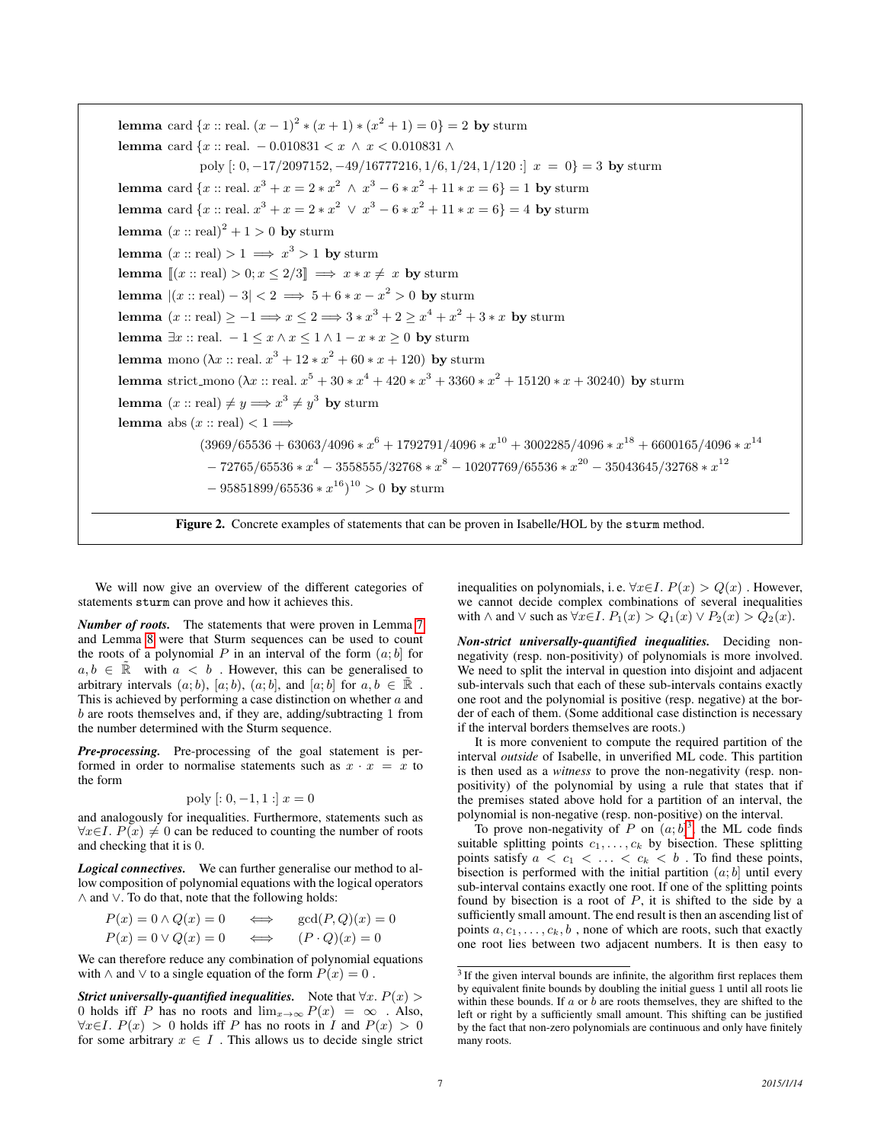lemma card  $\{x : \text{real. } (x-1)^2 * (x+1) * (x^2+1) = 0\} = 2$  by sturm lemma card  $\{x : \text{real.} -0.010831 \le x \land x \le 0.010831 \land x \le 0.010831 \}$ poly  $[: 0, -17/2097152, -49/16777216, 1/6, 1/24, 1/120: ] x = 0} = 3$  by sturm lemma card  $\{x : \text{real. } x^3 + x = 2 \cdot x^2 \land x^3 - 6 \cdot x^2 + 11 \cdot x = 6\} = 1$  by sturm lemma card  $\{x : \text{real. } x^3 + x = 2 \cdot x^2 \lor x^3 - 6 \cdot x^2 + 11 \cdot x = 6\} = 4$  by sturm lemma  $(x::real)^2 + 1 > 0$  by sturm lemma  $(x::real) > 1 \implies x^3 > 1$  by sturm lemma  $[(x::real) > 0; x \le 2/3] \implies x * x \ne x$  by sturm lemma  $|(x::real)-3|<2 \implies 5+6*x-x^2>0$  by sturm lemma  $(x::real) \ge -1 \Longrightarrow x \le 2 \Longrightarrow 3*x^3+2 \ge x^4+x^2+3*x$  by sturm lemma  $∃x :: real. -1 ≤ x ∧ x ≤ 1 ∧ 1 - x * x ≥ 0$  by sturm lemma mono (λ $x$  :: real.  $x^3 + 12 * x^2 + 60 * x + 120$ ) by sturm lemma strict\_mono ( $\lambda x$  :: real.  $x^5 + 30 * x^4 + 420 * x^3 + 3360 * x^2 + 15120 * x + 30240$ ) by sturm **lemma**  $(x::real) \neq y \Longrightarrow x^3 \neq y^3$  by sturm lemma abs  $(x::real) < 1 \Longrightarrow$  $(3969/65536 + 63063/4096 * x<sup>6</sup> + 1792791/4096 * x<sup>10</sup> + 3002285/4096 * x<sup>18</sup> + 6600165/4096 * x<sup>14</sup>$  $-$  72765/65536  $\ast$   $x^4$   $-$  3558555/32768  $\ast$   $x^8$   $-$  10207769/65536  $\ast$   $x^{20}$   $-$  35043645/32768  $\ast$   $x^{12}$  $-95851899/65536*x^{16})^{10} > 0$  by sturm Figure 2. Concrete examples of statements that can be proven in Isabelle/HOL by the sturm method.

<span id="page-6-1"></span>We will now give an overview of the different categories of statements sturm can prove and how it achieves this.

*Number of roots.* The statements that were proven in Lemma [7](#page-3-2) and Lemma [8](#page-3-3) were that Sturm sequences can be used to count the roots of a polynomial P in an interval of the form  $(a, b]$  for  $a, b \in \mathbb{R}$  with  $a < b$ . However, this can be generalised to arbitrary intervals  $(a; b)$ ,  $[a; b)$ ,  $(a; b]$ , and  $[a; b]$  for  $a, b \in \mathbb{R}$ . This is achieved by performing a case distinction on whether  $a$  and b are roots themselves and, if they are, adding/subtracting 1 from the number determined with the Sturm sequence.

*Pre-processing.* Pre-processing of the goal statement is performed in order to normalise statements such as  $x \cdot x = x$  to the form

poly 
$$
[: 0, -1, 1:]
$$
  $x = 0$ 

and analogously for inequalities. Furthermore, statements such as  $∀x∈I. P(x) ≠ 0$  can be reduced to counting the number of roots and checking that it is 0.

*Logical connectives.* We can further generalise our method to allow composition of polynomial equations with the logical operators ∧ and ∨. To do that, note that the following holds:

$$
P(x) = 0 \land Q(x) = 0 \iff \gcd(P, Q)(x) = 0
$$
  

$$
P(x) = 0 \lor Q(x) = 0 \iff (P \cdot Q)(x) = 0
$$

We can therefore reduce any combination of polynomial equations with  $\wedge$  and  $\vee$  to a single equation of the form  $P(x) = 0$ .

*Strict universally-quantified inequalities.* Note that  $\forall x. P(x) >$ 0 holds iff P has no roots and  $\lim_{x\to\infty} P(x) = \infty$ . Also,  $\forall x \in I$ .  $P(x) > 0$  holds iff P has no roots in I and  $P(x) > 0$ for some arbitrary  $x \in I$ . This allows us to decide single strict inequalities on polynomials, i. e.  $\forall x \in I$ .  $P(x) > Q(x)$ . However, we cannot decide complex combinations of several inequalities with  $\wedge$  and  $\vee$  such as  $\forall x \in I$ .  $P_1(x) > Q_1(x) \vee P_2(x) > Q_2(x)$ .

*Non-strict universally-quantified inequalities.* Deciding nonnegativity (resp. non-positivity) of polynomials is more involved. We need to split the interval in question into disjoint and adjacent sub-intervals such that each of these sub-intervals contains exactly one root and the polynomial is positive (resp. negative) at the border of each of them. (Some additional case distinction is necessary if the interval borders themselves are roots.)

It is more convenient to compute the required partition of the interval *outside* of Isabelle, in unverified ML code. This partition is then used as a *witness* to prove the non-negativity (resp. nonpositivity) of the polynomial by using a rule that states that if the premises stated above hold for a partition of an interval, the polynomial is non-negative (resp. non-positive) on the interval.

To prove non-negativity of P on  $(a, b]^3$  $(a, b]^3$ , the ML code finds suitable splitting points  $c_1, \ldots, c_k$  by bisection. These splitting points satisfy  $a < c_1 < \ldots < c_k < b$ . To find these points, bisection is performed with the initial partition  $(a, b]$  until every sub-interval contains exactly one root. If one of the splitting points found by bisection is a root of  $P$ , it is shifted to the side by a sufficiently small amount. The end result is then an ascending list of points  $a, c_1, \ldots, c_k, b$ , none of which are roots, such that exactly one root lies between two adjacent numbers. It is then easy to

<span id="page-6-0"></span> $3$  If the given interval bounds are infinite, the algorithm first replaces them by equivalent finite bounds by doubling the initial guess 1 until all roots lie within these bounds. If  $a$  or  $b$  are roots themselves, they are shifted to the left or right by a sufficiently small amount. This shifting can be justified by the fact that non-zero polynomials are continuous and only have finitely many roots.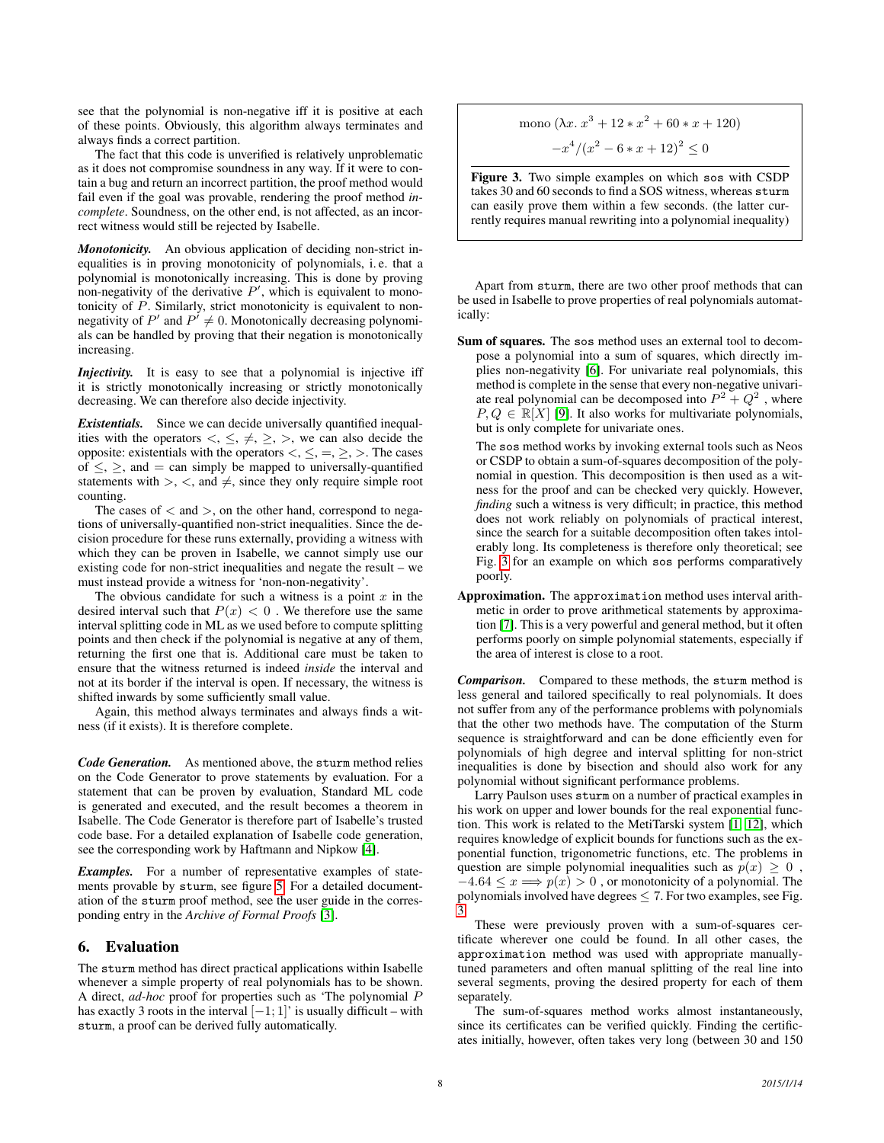see that the polynomial is non-negative iff it is positive at each of these points. Obviously, this algorithm always terminates and always finds a correct partition.

The fact that this code is unverified is relatively unproblematic as it does not compromise soundness in any way. If it were to contain a bug and return an incorrect partition, the proof method would fail even if the goal was provable, rendering the proof method *incomplete*. Soundness, on the other end, is not affected, as an incorrect witness would still be rejected by Isabelle.

*Monotonicity.* An obvious application of deciding non-strict inequalities is in proving monotonicity of polynomials, i. e. that a polynomial is monotonically increasing. This is done by proving non-negativity of the derivative  $P'$ , which is equivalent to monotonicity of P. Similarly, strict monotonicity is equivalent to nonnegativity of P' and  $P' \neq 0$ . Monotonically decreasing polynomials can be handled by proving that their negation is monotonically increasing.

*Injectivity*. It is easy to see that a polynomial is injective iff it is strictly monotonically increasing or strictly monotonically decreasing. We can therefore also decide injectivity.

*Existentials.* Since we can decide universally quantified inequalities with the operators  $\lt$ ,  $\leq$ ,  $\neq$ ,  $\geq$ ,  $>$ , we can also decide the opposite: existentials with the operators  $\lt$ ,  $\leq$ ,  $\gt$ ,  $\gt$ ,  $\gt$ . The cases of  $\leq$ ,  $\geq$ , and = can simply be mapped to universally-quantified statements with  $\geq, \leq,$  and  $\neq$ , since they only require simple root counting.

The cases of  $\lt$  and  $\gt$ , on the other hand, correspond to negations of universally-quantified non-strict inequalities. Since the decision procedure for these runs externally, providing a witness with which they can be proven in Isabelle, we cannot simply use our existing code for non-strict inequalities and negate the result – we must instead provide a witness for 'non-non-negativity'.

The obvious candidate for such a witness is a point  $x$  in the desired interval such that  $P(x) < 0$ . We therefore use the same interval splitting code in ML as we used before to compute splitting points and then check if the polynomial is negative at any of them, returning the first one that is. Additional care must be taken to ensure that the witness returned is indeed *inside* the interval and not at its border if the interval is open. If necessary, the witness is shifted inwards by some sufficiently small value.

Again, this method always terminates and always finds a witness (if it exists). It is therefore complete.

*Code Generation.* As mentioned above, the sturm method relies on the Code Generator to prove statements by evaluation. For a statement that can be proven by evaluation, Standard ML code is generated and executed, and the result becomes a theorem in Isabelle. The Code Generator is therefore part of Isabelle's trusted code base. For a detailed explanation of Isabelle code generation, see the corresponding work by Haftmann and Nipkow [\[4\]](#page-9-1).

*Examples.* For a number of representative examples of statements provable by sturm, see figure [5.](#page-6-1) For a detailed documentation of the sturm proof method, see the user guide in the corresponding entry in the *Archive of Formal Proofs* [\[3\]](#page-9-4).

### <span id="page-7-0"></span>6. Evaluation

The sturm method has direct practical applications within Isabelle whenever a simple property of real polynomials has to be shown. A direct, *ad-hoc* proof for properties such as 'The polynomial P has exactly 3 roots in the interval  $[-1, 1]$ ' is usually difficult – with sturm, a proof can be derived fully automatically.

mono 
$$
(\lambda x. x^3 + 12 * x^2 + 60 * x + 120)
$$

<span id="page-7-1"></span>
$$
-x^4/(x^2 - 6*x + 12)^2 \le 0
$$

Figure 3. Two simple examples on which sos with CSDP takes 30 and 60 seconds to find a SOS witness, whereas sturm can easily prove them within a few seconds. (the latter currently requires manual rewriting into a polynomial inequality)

Apart from sturm, there are two other proof methods that can be used in Isabelle to prove properties of real polynomials automatically:

Sum of squares. The sos method uses an external tool to decompose a polynomial into a sum of squares, which directly implies non-negativity [\[6\]](#page-9-5). For univariate real polynomials, this method is complete in the sense that every non-negative univariate real polynomial can be decomposed into  $P^2 + Q^2$ , where  $P, Q \in \mathbb{R}[X]$  [\[9\]](#page-9-6). It also works for multivariate polynomials, but is only complete for univariate ones.

The sos method works by invoking external tools such as Neos or CSDP to obtain a sum-of-squares decomposition of the polynomial in question. This decomposition is then used as a witness for the proof and can be checked very quickly. However, *finding* such a witness is very difficult; in practice, this method does not work reliably on polynomials of practical interest, since the search for a suitable decomposition often takes intolerably long. Its completeness is therefore only theoretical; see Fig. [3](#page-7-1) for an example on which sos performs comparatively poorly.

Approximation. The approximation method uses interval arithmetic in order to prove arithmetical statements by approximation [\[7\]](#page-9-7). This is a very powerful and general method, but it often performs poorly on simple polynomial statements, especially if the area of interest is close to a root.

*Comparison.* Compared to these methods, the sturm method is less general and tailored specifically to real polynomials. It does not suffer from any of the performance problems with polynomials that the other two methods have. The computation of the Sturm sequence is straightforward and can be done efficiently even for polynomials of high degree and interval splitting for non-strict inequalities is done by bisection and should also work for any polynomial without significant performance problems.

Larry Paulson uses sturm on a number of practical examples in his work on upper and lower bounds for the real exponential function. This work is related to the MetiTarski system [\[1,](#page-9-8) [12\]](#page-9-9), which requires knowledge of explicit bounds for functions such as the exponential function, trigonometric functions, etc. The problems in question are simple polynomial inequalities such as  $p(x) \geq 0$ ,  $-4.64 \leq x \Longrightarrow p(x) > 0$ , or monotonicity of a polynomial. The polynomials involved have degrees  $\leq 7$ . For two examples, see Fig. [3.](#page-7-1)

These were previously proven with a sum-of-squares certificate wherever one could be found. In all other cases, the approximation method was used with appropriate manuallytuned parameters and often manual splitting of the real line into several segments, proving the desired property for each of them separately.

The sum-of-squares method works almost instantaneously, since its certificates can be verified quickly. Finding the certificates initially, however, often takes very long (between 30 and 150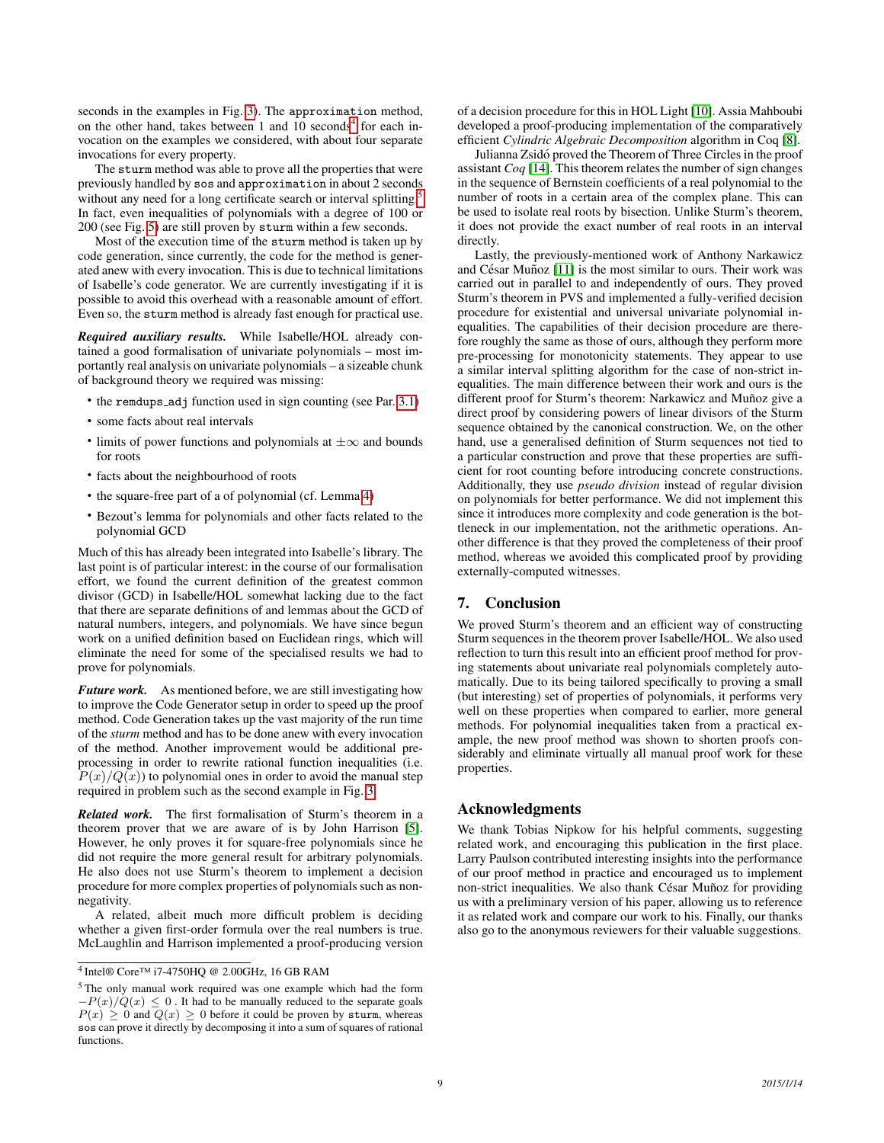seconds in the examples in Fig. [3\)](#page-7-1). The approximation method, on the other hand, takes between 1 and  $10$  seconds<sup>[4](#page-8-1)</sup> for each invocation on the examples we considered, with about four separate invocations for every property.

The sturm method was able to prove all the properties that were previously handled by sos and approximation in about 2 seconds without any need for a long certificate search or interval splitting. In fact, even inequalities of polynomials with a degree of 100 or 200 (see Fig. [5\)](#page-6-1) are still proven by sturm within a few seconds.

Most of the execution time of the sturm method is taken up by code generation, since currently, the code for the method is generated anew with every invocation. This is due to technical limitations of Isabelle's code generator. We are currently investigating if it is possible to avoid this overhead with a reasonable amount of effort. Even so, the sturm method is already fast enough for practical use.

*Required auxiliary results.* While Isabelle/HOL already contained a good formalisation of univariate polynomials – most importantly real analysis on univariate polynomials – a sizeable chunk of background theory we required was missing:

- the remdups adj function used in sign counting (see Par. [3.1\)](#page-1-3)
- some facts about real intervals
- limits of power functions and polynomials at  $\pm\infty$  and bounds for roots
- facts about the neighbourhood of roots
- the square-free part of a of polynomial (cf. Lemma [4\)](#page-2-6)
- Bezout's lemma for polynomials and other facts related to the polynomial GCD

Much of this has already been integrated into Isabelle's library. The last point is of particular interest: in the course of our formalisation effort, we found the current definition of the greatest common divisor (GCD) in Isabelle/HOL somewhat lacking due to the fact that there are separate definitions of and lemmas about the GCD of natural numbers, integers, and polynomials. We have since begun work on a unified definition based on Euclidean rings, which will eliminate the need for some of the specialised results we had to prove for polynomials.

*Future work.* As mentioned before, we are still investigating how to improve the Code Generator setup in order to speed up the proof method. Code Generation takes up the vast majority of the run time of the *sturm* method and has to be done anew with every invocation of the method. Another improvement would be additional preprocessing in order to rewrite rational function inequalities (i.e.  $P(x)/Q(x)$  to polynomial ones in order to avoid the manual step required in problem such as the second example in Fig. [3.](#page-7-1)

*Related work.* The first formalisation of Sturm's theorem in a theorem prover that we are aware of is by John Harrison [\[5\]](#page-9-10). However, he only proves it for square-free polynomials since he did not require the more general result for arbitrary polynomials. He also does not use Sturm's theorem to implement a decision procedure for more complex properties of polynomials such as nonnegativity.

A related, albeit much more difficult problem is deciding whether a given first-order formula over the real numbers is true. McLaughlin and Harrison implemented a proof-producing version of a decision procedure for this in HOL Light [\[10\]](#page-9-11). Assia Mahboubi developed a proof-producing implementation of the comparatively efficient *Cylindric Algebraic Decomposition* algorithm in Coq [\[8\]](#page-9-12).

Julianna Zsido proved the Theorem of Three Circles in the proof ´ assistant *Coq* [\[14\]](#page-9-13). This theorem relates the number of sign changes in the sequence of Bernstein coefficients of a real polynomial to the number of roots in a certain area of the complex plane. This can be used to isolate real roots by bisection. Unlike Sturm's theorem, it does not provide the exact number of real roots in an interval directly.

Lastly, the previously-mentioned work of Anthony Narkawicz and César Muñoz [\[11\]](#page-9-2) is the most similar to ours. Their work was carried out in parallel to and independently of ours. They proved Sturm's theorem in PVS and implemented a fully-verified decision procedure for existential and universal univariate polynomial inequalities. The capabilities of their decision procedure are therefore roughly the same as those of ours, although they perform more pre-processing for monotonicity statements. They appear to use a similar interval splitting algorithm for the case of non-strict inequalities. The main difference between their work and ours is the different proof for Sturm's theorem: Narkawicz and Muñoz give a direct proof by considering powers of linear divisors of the Sturm sequence obtained by the canonical construction. We, on the other hand, use a generalised definition of Sturm sequences not tied to a particular construction and prove that these properties are sufficient for root counting before introducing concrete constructions. Additionally, they use *pseudo division* instead of regular division on polynomials for better performance. We did not implement this since it introduces more complexity and code generation is the bottleneck in our implementation, not the arithmetic operations. Another difference is that they proved the completeness of their proof method, whereas we avoided this complicated proof by providing externally-computed witnesses.

# <span id="page-8-0"></span>7. Conclusion

We proved Sturm's theorem and an efficient way of constructing Sturm sequences in the theorem prover Isabelle/HOL. We also used reflection to turn this result into an efficient proof method for proving statements about univariate real polynomials completely automatically. Due to its being tailored specifically to proving a small (but interesting) set of properties of polynomials, it performs very well on these properties when compared to earlier, more general methods. For polynomial inequalities taken from a practical example, the new proof method was shown to shorten proofs considerably and eliminate virtually all manual proof work for these properties.

# Acknowledgments

We thank Tobias Nipkow for his helpful comments, suggesting related work, and encouraging this publication in the first place. Larry Paulson contributed interesting insights into the performance of our proof method in practice and encouraged us to implement non-strict inequalities. We also thank César Muñoz for providing us with a preliminary version of his paper, allowing us to reference it as related work and compare our work to his. Finally, our thanks also go to the anonymous reviewers for their valuable suggestions.

<span id="page-8-1"></span> $4$  Intel® Core™ i7-4750HQ @ 2.00GHz, 16 GB RAM

<span id="page-8-2"></span><sup>5</sup> The only manual work required was one example which had the form  $-P(x)/Q(x) \leq 0$ . It had to be manually reduced to the separate goals  $P(x) \ge 0$  and  $Q(x) \ge 0$  before it could be proven by sturm, whereas sos can prove it directly by decomposing it into a sum of squares of rational functions.